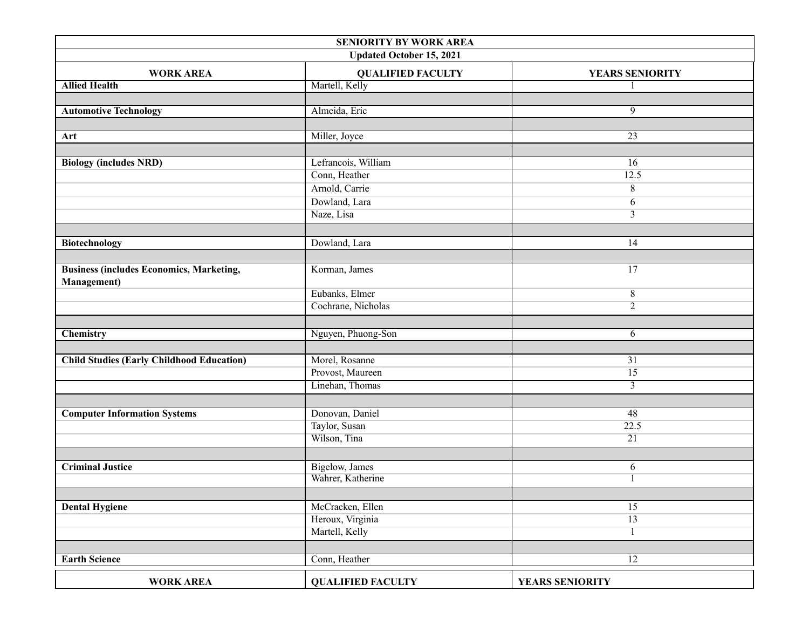| SENIORITY BY WORK AREA                           |                                      |                 |  |  |
|--------------------------------------------------|--------------------------------------|-----------------|--|--|
| <b>Updated October 15, 2021</b>                  |                                      |                 |  |  |
| <b>WORK AREA</b>                                 | <b>QUALIFIED FACULTY</b>             | YEARS SENIORITY |  |  |
| <b>Allied Health</b>                             | Martell, Kelly                       |                 |  |  |
|                                                  |                                      |                 |  |  |
| <b>Automotive Technology</b>                     | Almeida, Eric                        | 9               |  |  |
|                                                  |                                      |                 |  |  |
| Art                                              | Miller, Joyce                        | 23              |  |  |
|                                                  |                                      |                 |  |  |
| <b>Biology (includes NRD)</b>                    | Lefrancois, William                  | 16              |  |  |
|                                                  | Conn, Heather                        | 12.5            |  |  |
|                                                  | Arnold, Carrie                       | 8               |  |  |
|                                                  | Dowland, Lara                        | 6               |  |  |
|                                                  | Naze, Lisa                           | $\overline{3}$  |  |  |
|                                                  |                                      |                 |  |  |
| <b>Biotechnology</b>                             | Dowland, Lara                        | 14              |  |  |
|                                                  |                                      |                 |  |  |
| <b>Business (includes Economics, Marketing,</b>  | Korman, James                        | 17              |  |  |
| <b>Management</b> )                              |                                      |                 |  |  |
|                                                  | Eubanks, Elmer                       | 8               |  |  |
|                                                  | Cochrane, Nicholas                   | $\overline{2}$  |  |  |
|                                                  |                                      |                 |  |  |
| <b>Chemistry</b>                                 | Nguyen, Phuong-Son                   | 6               |  |  |
|                                                  |                                      |                 |  |  |
| <b>Child Studies (Early Childhood Education)</b> | Morel, Rosanne                       | 31              |  |  |
|                                                  | Provost, Maureen                     | 15              |  |  |
|                                                  | Linehan, Thomas                      | $\overline{3}$  |  |  |
|                                                  |                                      |                 |  |  |
| <b>Computer Information Systems</b>              | Donovan, Daniel                      | 48              |  |  |
|                                                  | Taylor, Susan                        | 22.5            |  |  |
|                                                  | Wilson, Tina                         | 21              |  |  |
|                                                  |                                      |                 |  |  |
| <b>Criminal Justice</b>                          | Bigelow, James                       | 6               |  |  |
|                                                  | Wahrer, Katherine                    |                 |  |  |
|                                                  |                                      |                 |  |  |
|                                                  |                                      | 15              |  |  |
| <b>Dental Hygiene</b>                            | McCracken, Ellen<br>Heroux, Virginia | 13              |  |  |
|                                                  | Martell, Kelly                       |                 |  |  |
|                                                  |                                      |                 |  |  |
|                                                  |                                      |                 |  |  |
| <b>Earth Science</b>                             | Conn, Heather                        | $\overline{12}$ |  |  |
| <b>WORK AREA</b>                                 | <b>QUALIFIED FACULTY</b>             | YEARS SENIORITY |  |  |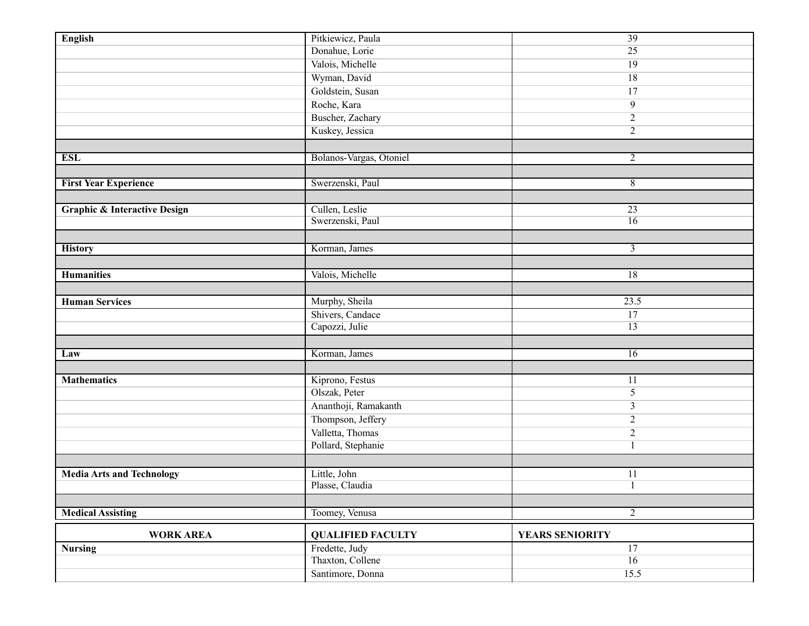| <b>English</b>                          | Pitkiewicz, Paula               | 39              |
|-----------------------------------------|---------------------------------|-----------------|
|                                         | Donahue, Lorie                  | 25              |
|                                         | Valois, Michelle                | 19              |
|                                         | Wyman, David                    | 18              |
|                                         | Goldstein, Susan                | 17              |
|                                         | Roche, Kara                     | 9               |
|                                         | Buscher, Zachary                | $\overline{2}$  |
|                                         | Kuskey, Jessica                 | $\overline{2}$  |
|                                         |                                 |                 |
| <b>ESL</b>                              | Bolanos-Vargas, Otoniel         | $\overline{2}$  |
|                                         |                                 |                 |
| <b>First Year Experience</b>            | Swerzenski, Paul                | 8               |
|                                         |                                 |                 |
| <b>Graphic &amp; Interactive Design</b> | Cullen, Leslie                  | 23              |
|                                         | Swerzenski, Paul                | $\overline{16}$ |
|                                         |                                 |                 |
| <b>History</b>                          | Korman, James                   | $\mathfrak{Z}$  |
|                                         |                                 |                 |
| <b>Humanities</b>                       | Valois, Michelle                | 18              |
|                                         |                                 |                 |
| <b>Human Services</b>                   | Murphy, Sheila                  | 23.5            |
|                                         | Shivers, Candace                | 17              |
|                                         | Capozzi, Julie                  | $\overline{13}$ |
|                                         |                                 |                 |
| Law                                     | Korman, James                   | 16              |
|                                         |                                 |                 |
| <b>Mathematics</b>                      | Kiprono, Festus                 | 11              |
|                                         | Olszak, Peter                   | 5               |
|                                         | Ananthoji, Ramakanth            | 3               |
|                                         | Thompson, Jeffery               | $\overline{2}$  |
|                                         | Valletta, Thomas                | $\overline{2}$  |
|                                         | Pollard, Stephanie              |                 |
|                                         |                                 |                 |
|                                         |                                 |                 |
| <b>Media Arts and Technology</b>        | Little, John<br>Plasse, Claudia | 11              |
|                                         |                                 |                 |
|                                         |                                 | $\overline{2}$  |
| <b>Medical Assisting</b>                | Toomey, Venusa                  |                 |
| <b>WORK AREA</b>                        | <b>QUALIFIED FACULTY</b>        | YEARS SENIORITY |
| <b>Nursing</b>                          | Fredette, Judy                  | 17              |
|                                         | Thaxton, Collene                | 16              |
|                                         | Santimore, Donna                | 15.5            |